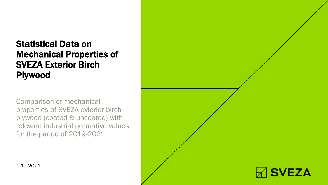# Statistical Data on Mechanical Properties of SVEZA Exterior Birch Plywood

Comparison of mechanical properties of SVEZA exterior birch plywood (coated & uncoated) with relevant industrial normative values for the period of 2019-2021



1.10.2021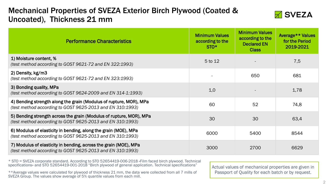# Mechanical Properties of SVEZA Exterior Birch Plywood (Coated & Uncoated), Thickness 21 mm



| <b>Performance Characteristics</b>                                                                                               | <b>Minimum Values</b><br>according to the<br>$STO*$ | <b>Minimum Values</b><br>according to the<br><b>Declared EN</b><br><b>Class</b> | Average** Values<br>for the Period<br>2019-2021 |
|----------------------------------------------------------------------------------------------------------------------------------|-----------------------------------------------------|---------------------------------------------------------------------------------|-------------------------------------------------|
| 1) Moisture content, %<br>(test method according to GOST 9621-72 and EN 322:1993)                                                | 5 to 12                                             |                                                                                 | 7,5                                             |
| 2) Density, kg/m3<br>(test method according to GOST 9621-72 and EN 323:1993)                                                     |                                                     | 650                                                                             | 681                                             |
| 3) Bonding quality, MPa<br>(test method according to GOST 9624-2009 and EN 314-1:1993)                                           | 1,0                                                 |                                                                                 | 1,78                                            |
| 4) Bending strength along the grain (Modulus of rupture, MOR), MPa<br>(test method according to GOST 9625-2013 and EN 310:1993)  | 60                                                  | 52                                                                              | 74,8                                            |
| 5) Bending strength across the grain (Modulus of rupture, MOR), MPa<br>(test method according to GOST 9625-2013 and EN 310:1993) | 30                                                  | 30                                                                              | 63,4                                            |
| 6) Modulus of elasticity in bending, along the grain (MOE), MPa<br>(test method according to GOST 9625-2013 and EN 310:1993)     | 6000                                                | 5400                                                                            | 8544                                            |
| 7) Modulus of elasticity in bending, across the grain (MOE), MPa<br>(test method according to GOST 9625-2013 and EN 310:1993)    | 3000                                                | 2700                                                                            | 6629                                            |

\* STO = SVEZA corporate standard. According to STO 52654419-006-2018 «Film faced birch plywood. Technical specifications» and STO 52654419-001-2018 "Birch plywood of general application. Technical specifications"

\*\*Average values were calculated for plywood of thickness 21 mm, the data were collected from all 7 mills of SVEZA Group. The values show average of 5% quantile values from each mill.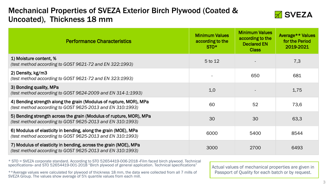# Mechanical Properties of SVEZA Exterior Birch Plywood (Coated & Uncoated), Thickness 18 mm



| <b>Performance Characteristics</b>                                                                                               | <b>Minimum Values</b><br>according to the<br>$STO*$ | <b>Minimum Values</b><br>according to the<br><b>Declared EN</b><br><b>Class</b> | Average** Values<br>for the Period<br>2019-2021 |
|----------------------------------------------------------------------------------------------------------------------------------|-----------------------------------------------------|---------------------------------------------------------------------------------|-------------------------------------------------|
| 1) Moisture content, %<br>(test method according to GOST 9621-72 and EN 322:1993)                                                | 5 to 12                                             |                                                                                 | 7,3                                             |
| 2) Density, kg/m3<br>(test method according to GOST 9621-72 and EN 323:1993)                                                     |                                                     | 650                                                                             | 681                                             |
| 3) Bonding quality, MPa<br>(test method according to GOST 9624-2009 and EN 314-1:1993)                                           | 1,0                                                 |                                                                                 | 1,75                                            |
| 4) Bending strength along the grain (Modulus of rupture, MOR), MPa<br>(test method according to GOST 9625-2013 and EN 310:1993)  | 60                                                  | 52                                                                              | 73,6                                            |
| 5) Bending strength across the grain (Modulus of rupture, MOR), MPa<br>(test method according to GOST 9625-2013 and EN 310:1993) | 30                                                  | 30                                                                              | 63,3                                            |
| 6) Modulus of elasticity in bending, along the grain (MOE), MPa<br>(test method according to GOST 9625-2013 and EN 310:1993)     | 6000                                                | 5400                                                                            | 8544                                            |
| 7) Modulus of elasticity in bending, across the grain (MOE), MPa<br>(test method according to GOST 9625-2013 and EN 310:1993)    | 3000                                                | 2700                                                                            | 6493                                            |

\* STO = SVEZA corporate standard. According to STO 52654419-006-2018 «Film faced birch plywood. Technical specifications» and STO 52654419-001-2018 "Birch plywood of general application. Technical specifications"

\*\*Average values were calculated for plywood of thickness 18 mm, the data were collected from all 7 mills of SVEZA Group. The values show average of 5% quantile values from each mill.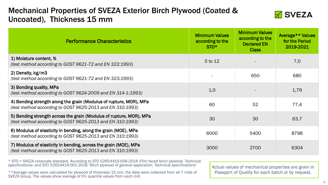# Mechanical Properties of SVEZA Exterior Birch Plywood (Coated & Uncoated), Thickness 15 mm



| <b>Performance Characteristics</b>                                                                                               | <b>Minimum Values</b><br>according to the<br>$STO*$ | <b>Minimum Values</b><br>according to the<br><b>Declared EN</b><br><b>Class</b> | Average** Values<br>for the Period<br>2019-2021 |
|----------------------------------------------------------------------------------------------------------------------------------|-----------------------------------------------------|---------------------------------------------------------------------------------|-------------------------------------------------|
| 1) Moisture content, %<br>(test method according to GOST 9621-72 and EN 322:1993)                                                | 5 to 12                                             |                                                                                 | 7,0                                             |
| 2) Density, kg/m3<br>(test method according to GOST 9621-72 and EN 323:1993)                                                     |                                                     | 650                                                                             | 680                                             |
| 3) Bonding quality, MPa<br>(test method according to GOST 9624-2009 and EN 314-1:1993)                                           | 1,0                                                 |                                                                                 | 1,79                                            |
| 4) Bending strength along the grain (Modulus of rupture, MOR), MPa<br>(test method according to GOST 9625-2013 and EN 310:1993)  | 60                                                  | 52                                                                              | 77,4                                            |
| 5) Bending strength across the grain (Modulus of rupture, MOR), MPa<br>(test method according to GOST 9625-2013 and EN 310:1993) | 30                                                  | 30                                                                              | 63,7                                            |
| 6) Modulus of elasticity in bending, along the grain (MOE), MPa<br>(test method according to GOST 9625-2013 and EN 310:1993)     | 6000                                                | 5400                                                                            | 8798                                            |
| 7) Modulus of elasticity in bending, across the grain (MOE), MPa<br>(test method according to GOST 9625-2013 and EN 310:1993)    | 3000                                                | 2700                                                                            | 6304                                            |

\* STO = SVEZA corporate standard. According to STO 52654419-006-2018 «Film faced birch plywood. Technical specifications» and STO 52654419-001-2018 "Birch plywood of general application. Technical specifications"

\*\*Average values were calculated for plywood of thickness 15 mm, the data were collected from all 7 mills of SVEZA Group. The values show average of 5% quantile values from each mill.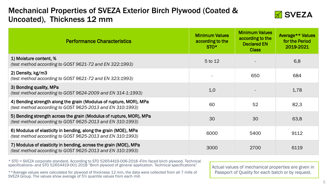# Mechanical Properties of SVEZA Exterior Birch Plywood (Coated & Uncoated), Thickness 12 mm



| <b>Performance Characteristics</b>                                                                                               | <b>Minimum Values</b><br>according to the<br>$STO^*$ | <b>Minimum Values</b><br>according to the<br><b>Declared EN</b><br><b>Class</b> | Average** Values<br>for the Period<br>2019-2021 |
|----------------------------------------------------------------------------------------------------------------------------------|------------------------------------------------------|---------------------------------------------------------------------------------|-------------------------------------------------|
| 1) Moisture content, %<br>(test method according to GOST 9621-72 and EN 322:1993)                                                | 5 to 12                                              |                                                                                 | 6,8                                             |
| 2) Density, kg/m3<br>(test method according to GOST 9621-72 and EN 323:1993)                                                     |                                                      | 650                                                                             | 684                                             |
| 3) Bonding quality, MPa<br>(test method according to GOST 9624-2009 and EN 314-1:1993)                                           | 1,0                                                  |                                                                                 | 1,78                                            |
| 4) Bending strength along the grain (Modulus of rupture, MOR), MPa<br>(test method according to GOST 9625-2013 and EN 310:1993)  | 60                                                   | 52                                                                              | 82,3                                            |
| 5) Bending strength across the grain (Modulus of rupture, MOR), MPa<br>(test method according to GOST 9625-2013 and EN 310:1993) | 30                                                   | 30                                                                              | 63,8                                            |
| 6) Modulus of elasticity in bending, along the grain (MOE), MPa<br>(test method according to GOST 9625-2013 and EN 310:1993)     | 6000                                                 | 5400                                                                            | 9112                                            |
| 7) Modulus of elasticity in bending, across the grain (MOE), MPa<br>(test method according to GOST 9625-2013 and EN 310:1993)    | 3000                                                 | 2700                                                                            | 6119                                            |

\* STO = SVEZA corporate standard. According to STO 52654419-006-2018 «Film faced birch plywood. Technical specifications» and STO 52654419-001-2018 "Birch plywood of general application. Technical specifications"

\*\*Average values were calculated for plywood of thickness 12 mm, the data were collected from all 7 mills of SVEZA Group. The values show average of 5% quantile values from each mill.